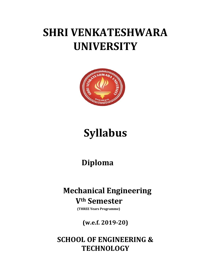## SHRI VENKATESHWARA UNIVERSITY



# Syllabus

### Diploma

## Mechanical Engineering Vth Semester

(THREE Years Programme)

(w.e.f. 2019-20)

### SCHOOL OF ENGINEERING & **TECHNOLOGY**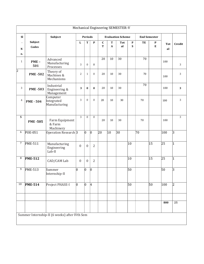| SI                        |                  | Subject                                   |                | <b>Periods</b>   |                |                  |                   | <b>Evaluation Scheme</b> |                                           |    | <b>End Semester</b> |                 |                |
|---------------------------|------------------|-------------------------------------------|----------------|------------------|----------------|------------------|-------------------|--------------------------|-------------------------------------------|----|---------------------|-----------------|----------------|
| $\blacksquare$<br>N<br>0. | Subject<br>Codes |                                           | L              | T                | $\mathbf{P}$   | $\mathbf C$<br>T | T<br>$\mathbf{A}$ | <b>Tot</b><br>al         | $\mathbf{P}$<br>$\boldsymbol{\mathsf{S}}$ | TE | P<br>${\bf E}$      | Tot<br>al       | Credit         |
| $\mathbf{1}$              | $PME -$<br>501   | Advanced<br>Manufacturing<br>Processes    | $\overline{3}$ | $\boldsymbol{0}$ | $\bf{0}$       | 20               | 10                | 30                       |                                           | 70 |                     | 100             | $\mathbf{3}$   |
| $\overline{2}$            | <b>PME-502</b>   | Theory of<br>Machines &<br>Mechanisms     | $\overline{c}$ | 1                | $\mathbf{0}$   | 20               | 10                | 30                       |                                           | 70 |                     | 100             | $\mathbf{3}$   |
| 3                         | <b>PME-503</b>   | Industrial<br>Engineering &<br>Management | 3              | $\bf{0}$         | $\bf{0}$       | 20               | 10                | 30                       |                                           | 70 |                     | 100             | $\mathbf{3}$   |
| 4                         | <b>PME - 504</b> | Computer<br>Integrated<br>Manufacturing   | 3              | $\mathbf{0}$     | $\mathbf{0}$   | 20               | 10                | 30                       |                                           | 70 |                     | 100             | $\mathbf{3}$   |
| $5\phantom{.0}$           | <b>PME-505</b>   | Farm Equipment<br>& Farm<br>Machinery     | 3              | $\mathbf{0}$     | $\mathbf{0}$   | 20               | 10                | 30                       |                                           | 70 |                     | 100             | $\overline{3}$ |
| 6                         | <b>POE-051</b>   | Operation Research <sup>3</sup>           |                | $\vert 0 \vert$  | $ 0\rangle$    | $ 20\rangle$     | $ 10\rangle$      | 30                       |                                           | 70 |                     | 100             | 3              |
| $\sqrt{7}$                | <b>PME-511</b>   | Manufacturing<br>Engineering<br>$Lab-II$  | $\overline{0}$ | $\boldsymbol{0}$ | $\overline{2}$ |                  |                   |                          | $ 10\rangle$                              |    | $\overline{15}$     | $\overline{25}$ | $\vert$ 1      |
| $\, 8$                    | <b>PME-512</b>   | CAD/CAM Lab                               | $\overline{0}$ | $\boldsymbol{0}$ | $\overline{2}$ |                  |                   |                          | $ 10\rangle$                              |    | $\overline{15}$     | $\overline{25}$ | $\vert$ 1      |
| 9                         | <b>PME-513</b>   | Summer<br>Internship-II                   | $ 0\rangle$    | $ 0\rangle$      | $ 0\rangle$    |                  |                   |                          | 50                                        |    |                     | 50              | 3              |
| 10                        | <b>PME-514</b>   | Project PHASE-I                           | $\overline{0}$ | $\overline{0}$   | 4              |                  |                   |                          | 50                                        |    | 50                  | 100             | $ 2\rangle$    |
|                           |                  |                                           |                |                  |                |                  |                   |                          |                                           |    |                     | 800             | 25             |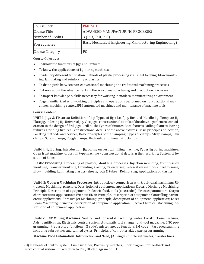| Course Code            | <b>PME 501</b>                                           |
|------------------------|----------------------------------------------------------|
| Course Title           | ADVANCED MANUFACTURING PROCESSES                         |
| Number of Credits      | $3$ (L: 3, T: 0, P: 0)                                   |
| Prerequisites          | Basic Mechanical Engineering Manufacturing Engineering ( |
| <b>Course Category</b> | PC.                                                      |

Course Objectives:

- To Know the functions of Jigs and Fixtures.
- To know the applications of jig-boring machines.
- To identify different fabrication methods of plastic processing viz., sheet forming, blow moulding, laminating and reinforcing of plastics.
- To distinguish between non-conventional machining and traditional machining processes.
- To know about the advancements in the area of manufacturing and production processes.
- To impart knowledge & skills necessary for working in modern manufacturing environment.
- To get familiarized with working principles and operations performed on non-traditional machines, machining center, SPM, automated machines and maintenance of machine tools.

#### Course Content:

UNIT-I: Jigs & Fixtures: Definition of jig; Types of jigs: Leaf jig, Box and Handle jig, Template jig, Plate jig, Indexing jig, Universal jig, Vice jigs - constructional details of the above jigs; General consideration in the design of drill jigs; Drill bush; Types of fixtures: Vice fixtures, Milling fixtures, Boring fixtures, Grinding fixtures - constructional details of the above fixtures; Basic principles of location; Locating methods and devices; Basic principles of the clamping; Types of clamps: Strap clamps, Cam clamps, Screw clamps, Toggle clamps, Hydraulic and Pneumatic clamps.

Unit-II: Jig Boring: Introduction; Jig boring on vertical milling machine; Types jig boring machines: Open front machine, Cross rail type machine - constructional details & their working; System of location of holes.

Plastic Processing: Processing of plastics; Moulding processes: Injection moulding, Compression moulding, Transfer moulding; Extruding; Casting; Calendering; Fabrication methods-Sheet forming, Blow moulding, Laminating plastics (sheets, rods & tubes), Reinforcing; Applications of Plastics.

Unit-III: Modern Machining Processes: Introduction – comparison with traditional machining; Ultrasonic Machining: principle, Description of equipment, applications; Electric Discharge Machining: Principle, Description of equipment, Dielectric fluid, tools (electrodes), Process parameters, Output characteristics, applications; Wire cut EDM: Principle, Description of equipment, Controlling parameters; applications; Abrasive Jet Machining: principle, description of equipment, application; Laser Beam Machining: principle, description of equipment, application; Electro Chemical Machining: description of equipment, application.

Unit-IV: CNC Milling Machines: Vertical and horizontal machining center: Constructional features, Axis identification, Electronic control system. Automatic tool changer and tool magazine. CNC programming: Preparatory functions (G code), miscellaneous functions (M code), Part programming including subroutines and canned cycles. Principles of computer aided part programming.

Machine Tool Automation: Introduction and Need; (A) Single spindle automates, transfer lines.

(B) Elements of control system, Limit switches, Proximity switches, Block diagram for feedback and servo control system, Introduction to PLC, Block diagram of PLC.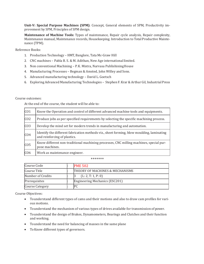Unit-V: Special Purpose Machines (SPM): Concept, General elements of SPM, Productivity improvement by SPM, Principles of SPM design.

Maintenance of Machine Tools: Types of maintenance, Repair cycle analysis, Repair complexity, Maintenance manual, Maintenance records, Housekeeping. Introduction to Total Productive Maintenance (TPM).

Reference Books:

- 1. Production Technology HMT, Banglore, Tata Mc-Graw Hill
- 2. CNC machines Pabla B. S. & M. Adithan, New Age international limited.
- 3. Non conventional Machining P. K. Mistra, Narvasa Publishining House
- 4. Manufacturing Processes Begman & Amsted, John Willey and Sons.
- 5. Advanced manufacturing technology David L. Goetsch
- 6. Exploring Advanced Manufacturing Technologies Stephen F. Krar & Arthur Gil, Industrial Press

#### Course outcomes:

At the end of the course, the student will be able to:

| CO <sub>1</sub> | Know the Operation and control of different advanced machine tools and equipments.                                        |
|-----------------|---------------------------------------------------------------------------------------------------------------------------|
| CO <sub>2</sub> | Produce jobs as per specified requirements by selecting the specific machining process.                                   |
| CO <sub>3</sub> | Develop the mind set for modern trends in manufacturing and automation.                                                   |
| CO <sub>4</sub> | Identify the different fabrication methods viz., sheet forming, blow moulding, laminating<br>and reinforcing of plastics. |
| CO <sub>5</sub> | Know different non-traditional machining processes, CNC milling machines, special pur-<br>pose machines.                  |
| CO6             | Work as maintenance engineer.                                                                                             |

\*\*\*\*\*\*\*

| Course Code            | <b>PME 502</b>                  |
|------------------------|---------------------------------|
| Course Title           | THEORY OF MACHINES & MECHANISMS |
| Number of Credits      | (L: 2, T: 1, P: 0)              |
| Prerequisites          | Engineering Mechanics (ESC201)  |
| <b>Course Category</b> | PС                              |

Course Objectives:

- To understand different types of cams and their motions and also to draw cam profiles for various motions.
- To understand the mechanism of various types of drives available for transmission of power.
- To understand the design of Brakes, Dynamometers, Bearings and Clutches and their function and working.
- To understand the need for balancing of masses in the same plane
- To Know different types of governors.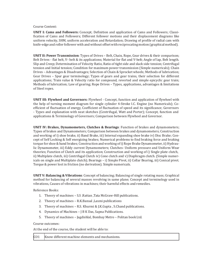#### Course Content:

UNIT I: Cams and Followers: Concept; Definition and application of Cams and Followers; Classification of Cams and Followers; Different follower motions and their displacement diagrams like uniform velocity, SHM, uniform acceleration and Retardation; Drawing of profile of radial cam with knife-edge and roller follower with and without offset with reciprocating motion (graphical method).

UNIT II: Power Transmission: Types of Drives – Belt, Chain, Rope, Gear drives & their comparison; Belt Drives - flat belt, V– belt & its applications; Material for flat and V-belt; Angle of lap, Belt length. Slip and Creep; Determination of Velocity Ratio, Ratio of tight side and slack side tension; Centrifugal tension and Initial tension; Condition for maximum power transmission (Simple numericals); Chain Drives – Advantages & Disadvantages; Selection of Chain & Sprocket wheels; Methods of lubrication; Gear Drives – Spur gear terminology; Types of gears and gear trains, their selection for different applications; Train value & Velocity ratio for compound, reverted and simple epicyclic gear train; Methods of lubrication; Law of gearing; Rope Drives – Types, applications, advantages & limitations of Steel ropes.

UNIT III: Flywheel and Governors: Flywheel - Concept, function and application of flywheel with the help of turning moment diagram for single cylinder 4-Stroke I.C. Engine (no Numericals); Coefficient of fluctuation of energy, Coefficient of fluctuation of speed and its significance; Governors - Types and explanation with neat sketches (Centrifugal, Watt and Porter); Concept, function and applications & Terminology of Governors; Comparison between Flywheel and Governor.

UNIT IV: Brakes, Dynamometers, Clutches & Bearings: Function of brakes and dynamometers; Types of brakes and Dynamometers; Comparison between brakes and dynamometers; Construction and working of i) shoe brake, ii) Band Brake, iii) Internal expanding shoe brake iv) Disc Brake; Concept of Self Locking & Self energizing brakes; Numerical problems to find braking force and braking torque for shoe & band brakes; Construction and working of i) Rope Brake Dynamometer, ii) Hydraulic Dynamometer, iii) Eddy current Dynamometers; Clutches- Uniform pressure and Uniform Wear theories; Function of Clutch and its application; Construction and working of i) Single plate clutch, ii) Multiplate clutch, iii) Centrifugal Clutch iv) Cone clutch and v) Diaphragm clutch. (Simple numericals on single and Multiplate clutch); Bearings – i) Simple Pivot, ii) Collar Bearing, iii) Conical pivot. Torque & power lost in friction (no derivation). Simple numericals.

UNIT V: Balancing & Vibrations: Concept of balancing; Balancing of single rotating mass; Graphical method for balancing of several masses revolving in same plane; Concept and terminology used in vibrations, Causes of vibrations in machines; their harmful effects and remedies.

Reference Books:

- 1. Theory of machines S.S .Rattan ,Tata McGraw-Hill publications.
- 2. Theory of machines R.K.Bansal ,Laxmi publications
- 3. Theory of machines R.S. Khurmi & J.K.Gupta , S.Chand publications.
- 4. Dynamics of Machines J B K Das, Sapna Publications.
- 5. Theory of machines Jagdishlal, Bombay Metro Politan book Ltd.

Course outcomes:

At the end of the course, the student will be able to:

CO1 Know different machine elements and mechanisms.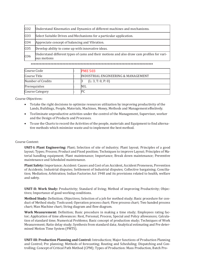| CO <sub>2</sub> | Understand Kinematics and Dynamics of different machines and mechanisms.                                 |
|-----------------|----------------------------------------------------------------------------------------------------------|
| CO <sub>3</sub> | Select Suitable Drives and Mechanisms for a particular application.                                      |
| CO <sub>4</sub> | Appreciate concept of balancing and Vibration.                                                           |
| CO <sub>5</sub> | Develop ability to come up with innovative ideas.                                                        |
| CO <sub>6</sub> | Understand different types of cams and their motions and also draw cam profiles for vari-<br>ous motions |

\*\*\*\*\*\*\*\*\*\*\*\*\*\*\*\*\*\*\*\*\*\*\*\*\*\*\*\*\*\*\*\*\*\*\*\*\*\*\*\*\*\*\*\*\*\*\*\*\*\*\*\*\*\*\*\*\*\*\*\*\*\*\*\*\*\*\*\*\*\*\*\*\*\*\*\*\*\*\*\*\*

| Course Code            | <b>PME 503</b>                      |
|------------------------|-------------------------------------|
| Course Title           | INDUSTRIAL ENGINEERING & MANAGEMENT |
| Number of Credits      | (L: 3, T: 0, P: 0)                  |
| Prerequisites          | İNIL                                |
| <b>Course Category</b> |                                     |

Course Objectives:

- To take the right decisions to optimize resources utilization by improving productivity of the Lands, Buildings, People, Materials, Machines, Money, Methods and Management effectively.
- To eliminate unproductive activities under the control of the Management, Supervisor, worker and the Design of Products and Processes.
- To use the Charts to record the Activities of the people, materials and Equipment to find alternative methods which minimize waste and to implement the best method.

#### Course Content:

UNIT-I: Plant Engineering: Plant; Selection of site of industry; Plant layout; Principles of a good layout; Types; Process; Product and Fixed position; Techniques to improve Layout; Principles of Material handling equipment; Plant maintenance; Importance; Break down maintenance; Preventive maintenance and Scheduled maintenance.

Plant Safety: Importance; Accident: Causes and Cost of an Accident, Accident Proneness, Prevention of Accidents; Industrial disputes; Settlement of Industrial disputes; Collective bargaining; Conciliation; Mediation; Arbitration; Indian Factories Act 1948 and its provisions related to health, welfare and safety.

UNIT-II: Work Study: Productivity; Standard of living; Method of improving Productivity; Objectives; Importance of good working conditions.

Method Study: Definition; Objectives; Selection of a job for method study; Basic procedure for conduct of Method study; Tools used; Operation process chart; Flow process chart; Two handed process chart; Man Machine chart; String diagram and flow diagram.

Work Measurement: Definition; Basic procedure in making a time study; Employees rating factor; Application of time allowances: Rest, Personal, Process, Special and Policy allowances; Calculation of standard time; Numerical Problems; Basic concept of production study; Techniques of Work Measurement; Ratio delay study; Synthesis from standard data; Analytical estimating and Pre determined Motion Time System (PMTS).

UNIT-III: Production Planning and Control: Introduction; Major functions of Production Planning and Control; Pre planning; Methods of forecasting; Routing and Scheduling; Dispatching and Controlling; Concept of Critical Path Method (CPM); Types of Production: Mass Production, Batch Pro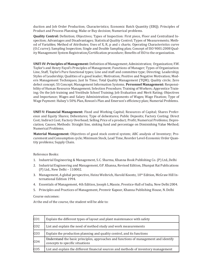duction and Job Order Production; Characteristics; Economic Batch Quantity (EBQ); Principles of Product and Process Planning; Make or Buy decision; Numerical problems.

Quality Control: Definition; Objectives; Types of Inspection: First piece, Floor and Centralized Inspection; Advantages and Disadvantages; Statistical Quality Control; Types of Measurements; Method of Variables; Method of Attributes; Uses of X, R, p and c charts; Operating Characteristics curve (O.C curve); Sampling Inspection; Single and Double Sampling plan; Concept of ISO 9001:2008 Quality Management System Registration/Certification procedure; Benefits of ISO to the organization.

UNIT-IV: Principles of Management: Definition of Management; Administration; Organization; F.W. Taylor's and Henry Fayol's Principles of Management; Functions of Manager; Types of Organization: Line, Staff, Taylor's Pure functional types; Line and staff and committee type; Directing; Leadership; Styles of Leadership; Qualities of a good leader; Motivation; Positive and Negative Motivation; Modern Management Techniques; Just In Time; Total Quality Management (TQM); Quality circle; Zero defect concept; 5S Concept; Management Information Systems. Personnel Management: Responsibility of Human Resource Management; Selection Procedure; Training of Workers; Apprentice Training; On the Job training and Vestibule School Training; Job Evaluation and Merit Rating; Objectives and Importance; Wages and Salary Administration; Components of Wages; Wage Fixation; Type of Wage Payment: Halsey's 50% Plan, Rowan's Plan and Emerson's efficiency plan; Numerial Problems.

UNIT-V: Financial Management: Fixed and Working Capital; Resources of Capital; Shares Preference and Equity Shares; Debentures; Type of debentures; Public Deposits; Factory Costing: Direct Cost; Indirect Cost; Factory Overhead; Selling Price of a product; Profit; Numerical Problems; Depreciation; Causes; Methods: Straight line, sinking fund and percentage on Diminishing Value Method; Numerical Problems.

Material Management: Objectives of good stock control system; ABC analysis of Inventory; Procurement and Consumption cycle; Minimum Stock, Lead Time, Reorder Level-Economic Order Quantity problems; Supply Chain.

Reference Books:

- 1. Industrial Engineering & Management, S.C. Sharma, Khanna Book Publishing Co. (P) Ltd., Delhi
- 2. Industrial Engineering and Management, O.P. Khanna, Revised Edition, Dhanpat Rai Publications (P) Ltd., New Delhi – 110002.
- 3. Management, A global perspective, Heinz Weihrich, Harold Koontz, 10<sup>th</sup> Edition, McGraw Hill International Edition 1994.
- 4. Essentials of Management, 4th Edition, Joseph L.Massie, Prentice-Hall of India, New Delhi 2004.
- 5. Principles and Practices of Management, Premvir Kapoor, Khanna Publishing House, N. Delhi

Course outcomes:

| CO <sub>1</sub> | Explain the different types of layout and plant maintenance with safety                                                 |
|-----------------|-------------------------------------------------------------------------------------------------------------------------|
| CO <sub>2</sub> | List and explain the need of method study and work measurements                                                         |
| CO <sub>3</sub> | Explain the production planning and quality control, and its functions                                                  |
| CO <sub>4</sub> | Understand the basic principles, approaches and functions of management and identify<br>concepts to specific situations |
| CO <sub>5</sub> | List and explain the different financial sources and methods of inventory management                                    |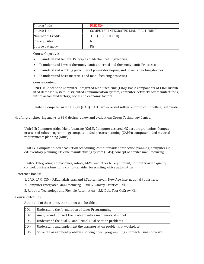| Course Code            | $PME-504$                         |
|------------------------|-----------------------------------|
| Course Title           | COMPUTER INTEGRATED MANUFACTURING |
| Number of Credits      | (L: 3, T: 0, P: 0)                |
| Prerequisites          | NIL                               |
| <b>Course Category</b> | PE                                |

Course Objectives:

- To understand General Principles of Mechanical Engineering.
- To understand laws of thermodynamics, thermal and thermodynamic Processes
- To understand working principles of power developing and power absorbing devices
- To understand basic materials and manufacturing processes

Course Content:

UNIT-I: Concept of Computer Integrated Manufacturing (CIM); Basic components of CIM; Distributed database system; distributed communication system, computer networks for manufacturing; future automated factory; social and economic factors

Unit-II: Computer Aided Design (CAD): CAD hardware and software; product modelling, automatic

drafting; engineering analysis; FEM design review and evaluation; Group Technology Centre.

Unit-III: Computer Aided Manufacturing (CAM), Computer assisted NC part programming; Computer assisted robot programming; computer aided process planning (CAPP); computer aided material requirements planning (MRP)

Unit-IV: Computer aided production scheduling; computer aided inspection planning; computer aided inventory planning, Flexible manufacturing system (FMS); concept of flexible manufacturing.

Unit-V: Integrating NC machines, robots, AGVs, and other NC equipment; Computer aided quality control; business functions, computer aided forecasting; office automation

Reference Books:

1. CAD, CAM, CIM - P.Radhakrishnan and S.Subramanyan, New Age International Publishers.

2. Computer Integrated Manufacturing - Paul G. Rankey, Prentice Hall.

3. Robotics Technology and Flexible Automation – S.R. Deb, Tata McGraw Hill.

Course outcomes:

| CO <sub>1</sub> | Understand the formulation of Liner Programming                                   |
|-----------------|-----------------------------------------------------------------------------------|
| CO <sub>2</sub> | Analyze and Convert the problem into a mathematical model.                        |
| CO <sub>3</sub> | Understand the dual LP and Primal Dual relation problems                          |
| CO <sub>4</sub> | Understand and implement the transportation problems at workplace                 |
| CO <sub>5</sub> | Solve the assignment problems, solving linear programming approach using software |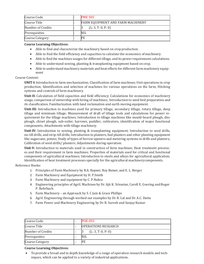| Course Code            | <b>PME 505</b>                    |
|------------------------|-----------------------------------|
| Course Title           | FARM EQUIPMENT AND FARM MACHINERY |
| Number of Credits      | (L: 3, T: 0, P: 0)                |
| Prerequisites          | <b>NIL</b>                        |
| <b>Course Category</b> | IРE                               |

#### Course Learning Objectives:

- Able to find and characterize the machinery based on crop production.
- Able to find the field efficiency and capacities to calculate the economics of machinery.
- Able to find the machines usages for different tillage, and its power requirement calculations.
- Able to understand sowing, planting & transplanting equipment based on crop.
- Able to understand machinery materials and heat effects for different farm machinery equipment

#### Course Content:

UNIT-I: Introduction to farm mechanization; Classification of farm machines; Unit operations in crop production; Identification and selection of machines for various operations on the farm; Hitching systems and controls of farm machinery.

Unit-II: Calculation of field capacities and field efficiency; Calculations for economics of machinery usage, comparison of ownership with hiring of machines;. Introduction to seed-bed preparation and its classification. Familiarization with land reclamation and earth moving equipment.

Unit-III: Introduction to machines used for primary tillage, secondary tillage, rotary tillage, deep tillage and minimum tillage; Measurement of draft of tillage tools and calculations for power requirement for the tillage machines; Introduction to tillage machines like mould-board plough, disc plough, chisel plough, sub-soiler, harrows, puddler, cultivators, identification of major functional components; Attachments with tillage machinery.

Unit-IV: Introduction to sowing, planting & transplanting equipment; Introduction to seed drills, no-till drills, and strip-till drills; Introduction to planters, bed planters and other planting equipment like sugarcane, potato; Study of types of furrow openers and metering systems in drills and planters; Calibration of seed-drills/ planters; Adjustments during operation.

Unit-V: Introduction to materials used in construction of farm machines; Heat treatment processes and their requirement in farm machines; Properties of materials used for critical and functional components of agricultural machines; Introduction to steels and alloys for agricultural application; Identification of heat treatment processes specially for the agricultural machinery components.

Reference Books:

- 1. Principles of Farm Machinery by R.A. Kepner, Roy Bainer, and E. L. Berger
- 2. Farm Machinery and Equipment by H. P. Smith
- 3. Farm Machinery and equipment by C. P. Nakra
- 4. Engineering principles of Agril. Machines by Dr. Ajit K. Srivastav, Caroll E. Goering and Roger P. Rohrbach.
- 5. Farm Machinery an Approach by S. C Jain & Grace Phillips
- 6. Agril. Engineering through worked out examples by Dr. R. Lal and Dr. A.C. Dutta
- 7. Farm Power and Machinery Engineering by Dr. R. Suresh and Sanjay Kumar

| Course Code            | <b>POE-051</b>             |
|------------------------|----------------------------|
| Course Title           | <b>OPERATIONS RESEARCH</b> |
| Number of Credits      | (L: 3, T: 0, P: 0)         |
| Prerequisites          | <b>NIL</b>                 |
| <b>Course Category</b> | PЕ                         |

#### Course Learning Objectives:

 To provide a broad and in depth knowledge of a range of operation research models and techniques, which can be applied to a variety of industrial applications.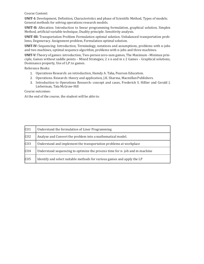Course Content:

UNIT-I: Development, Definition, Characteristics and phase of Scientific Method, Types of models; General methods for solving operations research models.

UNIT-II: Allocation: Introduction to linear programming formulation, graphical solution, Simplex Method, artificial variable technique, Duality principle. Sensitivity analysis.

UNIT-III: Transportation Problem Formulation optimal solution. Unbalanced transportation problems, Degeneracy. Assignment problem, Formulation optimal solution.

UNIT-IV: Sequencing: Introduction, Terminology, notations and assumptions, problems with n-jobs and two machines, optimal sequence algorithm, problems with n-jobs and three machines.

UNIT-V: Theory of games: introduction, Two-person zero-sum games, The Maximum –Minimax principle, Games without saddle points – Mixed Strategies, 2 x n and m x 2 Games – Graphical solutions, Dominance property, Use of L.P. to games.

Reference Books:

- 1. Operations Research: an introduction, Hamdy A. Taha, Pearson Education.
- 2. Operations. Research: theory and application, J.K. Sharma, Macmillan Publishers.
- 3. Introduction to Operations Research: concept and cases, Frederick S. Hillier and Gerald J. Lieberman, Tata McGraw-Hill

Course outcomes:

| CO <sub>1</sub> | Understand the formulation of Liner Programming                            |
|-----------------|----------------------------------------------------------------------------|
| CO <sub>2</sub> | Analyze and Convert the problem into a mathematical model.                 |
| CO <sub>3</sub> | Understand and implement the transportation problems at workplace          |
| CO <sub>4</sub> | Understand sequencing to optimize the process time for n-job and m-machine |
| CO <sub>5</sub> | Identify and select suitable methods for various games and apply the LP    |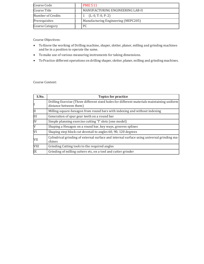| Course Code            | <b>PME 511</b>                      |
|------------------------|-------------------------------------|
| Course Title           | MANUFACTURING ENGINEERING LAB-II    |
| Number of Credits      | (L: 0, T: 0, P: 2)                  |
| Prerequisites          | Manufacturing Engineering (MEPC205) |
| <b>Course Category</b> | P <sub>C</sub>                      |

Course Objectives:

- To Know the working of Drilling machine, shaper, slotter, planer, milling and grinding machines and be in a position to operate the same.
- To make use of various measuring instruments for taking dimensions.
- To Practice different operations on drilling shaper, slotter, planer, milling and grinding machines.

Course Content:

| S.No.          | <b>Topics for practice</b>                                                                                           |
|----------------|----------------------------------------------------------------------------------------------------------------------|
|                | Drilling Exercise (Three different sized holes for different materials maintaining uniform<br>distance between them) |
|                | Milling-square-hexagon from round bars with indexing and without indexing                                            |
| $\mathbf{III}$ | Generation of spur gear teeth on a round bar                                                                         |
| IV             | Simple planning exercise cutting 'T' slots (one model)                                                               |
|                | Shaping a Hexagon on a round bar, key ways, grooves splines                                                          |
| <b>VI</b>      | Shaping step block cut dovetail to angles 60, 90, 120 degrees                                                        |
| <b>VII</b>     | Cylindrical grinding of external surface and internal surface using universal grinding ma-<br>chines                 |
| <b>VIII</b>    | Grinding Cutting tools to the required angles                                                                        |
| <b>IX</b>      | Grinding of milling cutters etc, on a tool and cutter grinder                                                        |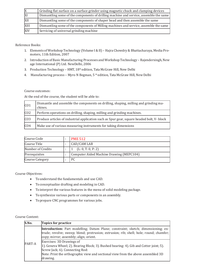| X    | Grinding flat surface on a surface grinder using magnetic chuck and clamping devices  |
|------|---------------------------------------------------------------------------------------|
| XI   | Dismantling some of the components of drilling machine and service, assemble the same |
| XII  | Dismantling some of the components of shaper head and then assemble the same          |
| XIII | Dismantling some of the components of Milling machines and service, assemble the same |
| XIV  | Servicing of universal grinding machine                                               |

Reference Books:

- 1. Elements of Workshop Technology (Volume I & II) Hajra Chowdry & Bhattacharaya, Media Promoters, 11th Edition, 2007
- 2. Introduction of Basic Manufacturing Processes and Workshop Technology Rajendersingh, New age International (P) Ltd. NewDelhi, 2006
- 3. Production Technology HMT, 18<sup>th</sup> edition, Tata McGraw Hill, New Delhi
- 4. Manufacturing process Myro N Begman,  $5<sup>th</sup>$ edition, Tata McGraw Hill, New Delhi

Course outcomes:

At the end of the course, the student will be able to:

| CO <sub>1</sub> | Dismantle and assemble the components on drilling, shaping, milling and grinding ma-<br>chines. |
|-----------------|-------------------------------------------------------------------------------------------------|
| CO <sub>2</sub> | Perform operations on drilling, shaping, milling and grinding machines.                         |
| CO <sub>3</sub> | Produce articles of industrial application such as Spur gear, square headed bolt, V- block      |
| CO <sub>4</sub> | Make use of various measuring instruments for taking dimensions                                 |

| Course Code            | <b>PME 512</b>                           |
|------------------------|------------------------------------------|
| Course Title           | CAD/CAM LAB                              |
| Number of Credits      | (L: 0, T: 0, P: 2)                       |
| Prerequisites          | Computer Aided Machine Drawing (MEPC104) |
| <b>Course Category</b> | PC.                                      |

Course Objectives:

- To understand the fundamentals and use CAD.
- To conceptualize drafting and modeling in CAD.
- To interpret the various features in the menu of solid modeling package.
- To synthesize various parts or components in an assembly.
- To prepare CNC programmes for various jobs.

Course Content:

| S.No.  | <b>Topics for practice</b>                                                                                                                                                                                                                             |
|--------|--------------------------------------------------------------------------------------------------------------------------------------------------------------------------------------------------------------------------------------------------------|
|        | <b>Introduction:</b> Part modelling; Datum Plane; constraint; sketch; dimensioning; ex-<br>trude; revolve; sweep; blend; protrusion; extrusion; rib; shell; hole; round; chamfer;<br>copy; mirror; assembly; align; orient.                            |
| PART-A | Exercises: 3D Drawings of<br>1). Geneva Wheel; 2). Bearing Block; 3). Bushed bearing: 4). Gib and Cotter joint; 5).<br>Screw Jack; 6). Connecting Rod:<br>Note: Print the orthographic view and sectional view from the above assembled 3D<br>drawing. |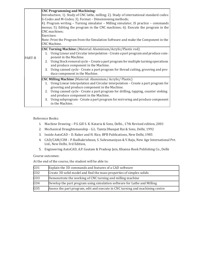|        | <b>CNC Programming and Machining:</b>                                                                                            |  |  |  |  |  |  |
|--------|----------------------------------------------------------------------------------------------------------------------------------|--|--|--|--|--|--|
|        | Introduction; 1). Study of CNC lathe, milling; 2). Study of international standard codes:                                        |  |  |  |  |  |  |
|        | G-Codes and M-Codes; 3). Format – Dimensioning methods;                                                                          |  |  |  |  |  |  |
|        | 4). Program writing – Turning simulator – Milling simulator, IS practice – commands                                              |  |  |  |  |  |  |
|        | menus; 5). Editing the program in the CNC machines; 6). Execute the program in the                                               |  |  |  |  |  |  |
|        | CNC machines;                                                                                                                    |  |  |  |  |  |  |
|        | Exercises:                                                                                                                       |  |  |  |  |  |  |
|        | Note: Print the Program from the Simulation Software and make the Component in the                                               |  |  |  |  |  |  |
|        | <b>CNC</b> Machine.                                                                                                              |  |  |  |  |  |  |
|        | <b>CNC Turning Machine:</b> (Material: Aluminium/Acrylic/Plastic rod)                                                            |  |  |  |  |  |  |
|        | 1. Using Linear and Circular interpolation - Create a part program and produce com-<br>ponent in the Machine.                    |  |  |  |  |  |  |
| PART-B | 2. Using Stock removal cycle - Create a part program for multiple turning operations                                             |  |  |  |  |  |  |
|        | and produce component in the Machine.                                                                                            |  |  |  |  |  |  |
|        | Using canned cycle - Create a part program for thread cutting, grooving and pro-<br>3.                                           |  |  |  |  |  |  |
|        | duce component in the Machine.                                                                                                   |  |  |  |  |  |  |
|        | <b>CNC Milling Machine</b> (Material: Aluminium/Acrylic/Plastic)                                                                 |  |  |  |  |  |  |
|        | Using Linear interpolation and Circular interpolation - Create a part program for<br>1.                                          |  |  |  |  |  |  |
|        | grooving and produce component in the Machine.                                                                                   |  |  |  |  |  |  |
|        | Using canned cycle - Create a part program for drilling, tapping, counter sinking<br>2.<br>and produce component in the Machine. |  |  |  |  |  |  |
|        | 3. Using subprogram - Create a part program for mirroring and produce component                                                  |  |  |  |  |  |  |
|        | in the Machine.                                                                                                                  |  |  |  |  |  |  |

Reference Books:

- 1. Machine Drawing P.S. Gill S. K. Kataria & Sons, Delhi., 17th Revised edition, 2001
- 2. Mechanical Draughtsmanship G.L. Tamta Dhanpat Rai & Sons, Delhi, 1992
- 3. Inside AutoCAD D. Raker and H. Rice, BPB Publications, New Delhi, 1985
- 4. CAD/CAM/CIM P. Radhakrishnan, S. Subramaniyan & V. Raju, New Age International Pvt. Ltd., New Delhi, 3rd Edition,
- 5. Engineering AutoCAD, A.P. Gautam & Pradeep Jain, Khanna Book Publishing Co., Delhi

Course outcomes:

| CO <sub>1</sub> | Explain the 3D commands and features of a CAD software                        |
|-----------------|-------------------------------------------------------------------------------|
| CO <sub>2</sub> | Create 3D solid model and find the mass properties of simples solids          |
| CO <sub>3</sub> | Demonstrate the working of CNC turning and milling machine                    |
| CO <sub>4</sub> | Develop the part program using simulation software for Lathe and Milling      |
| CO <sub>5</sub> | Assess the part program, edit and execute in CNC turning and machining centre |